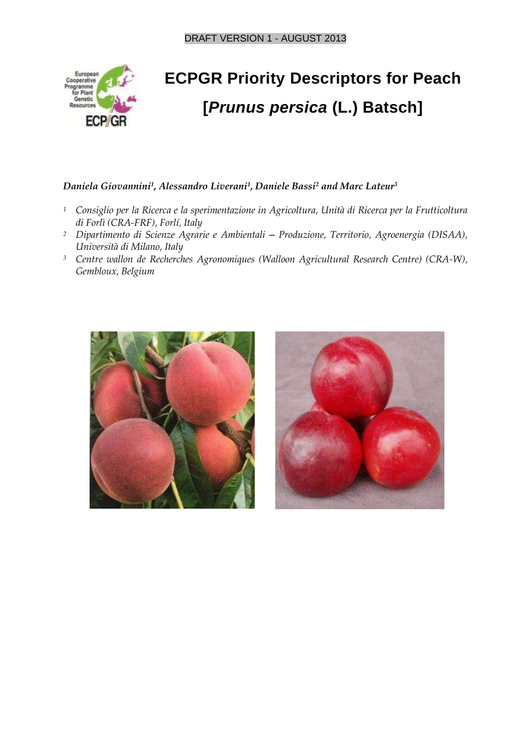

# **ECPGR Priority Descriptors for Peach [***Prunus persica* **(L.) Batsch]**

#### *Daniela Giovannini<sup>1</sup> , Alessandro Liverani<sup>1</sup> , Daniele Bassi<sup>2</sup> and Marc Lateur<sup>3</sup>*

- *<sup>1</sup> Consiglio per la Ricerca e la sperimentazione in Agricoltura, Unità di Ricerca per la Frutticoltura di Forlì (CRA-FRF), Forlí, Italy*
- *<sup>2</sup> Dipartimento di Scienze Agrarie e Ambientali ‒ Produzione, Territorio, Agroenergia (DISAA), Università di Milano, Italy*
- *<sup>3</sup> Centre wallon de Recherches Agronomiques (Walloon Agricultural Research Centre) (CRA-W), Gembloux, Belgium*



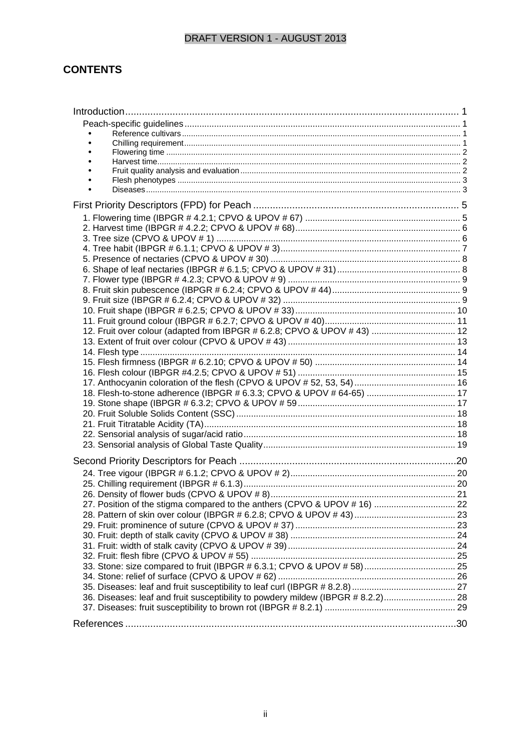#### **CONTENTS**

| 12. Fruit over colour (adapted from IBPGR # 6.2.8; CPVO & UPOV # 43)  12         |  |
|----------------------------------------------------------------------------------|--|
|                                                                                  |  |
|                                                                                  |  |
|                                                                                  |  |
|                                                                                  |  |
| 18. Flesh-to-stone adherence (IBPGR # 6.3.3; CPVO & UPOV # 64-65)  17            |  |
|                                                                                  |  |
|                                                                                  |  |
|                                                                                  |  |
|                                                                                  |  |
|                                                                                  |  |
|                                                                                  |  |
|                                                                                  |  |
|                                                                                  |  |
|                                                                                  |  |
|                                                                                  |  |
|                                                                                  |  |
|                                                                                  |  |
|                                                                                  |  |
|                                                                                  |  |
|                                                                                  |  |
|                                                                                  |  |
|                                                                                  |  |
|                                                                                  |  |
| 36. Diseases: leaf and fruit susceptibility to powdery mildew (IBPGR # 8.2.2) 28 |  |
|                                                                                  |  |
|                                                                                  |  |
|                                                                                  |  |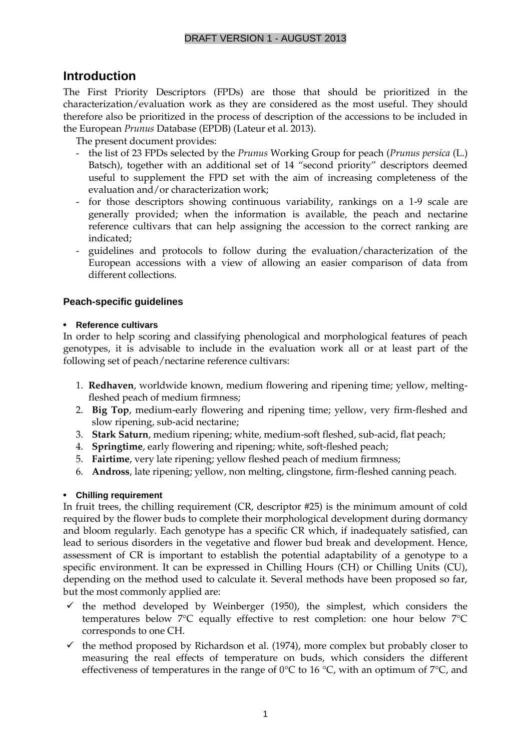## **Introduction**

The First Priority Descriptors (FPDs) are those that should be prioritized in the characterization/evaluation work as they are considered as the most useful. They should therefore also be prioritized in the process of description of the accessions to be included in the European *Prunus* Database (EPDB) (Lateur et al. 2013).

The present document provides:

- the list of 23 FPDs selected by the *Prunus* Working Group for peach (*Prunus persica* (L.) Batsch), together with an additional set of 14 "second priority" descriptors deemed useful to supplement the FPD set with the aim of increasing completeness of the evaluation and/or characterization work;
- for those descriptors showing continuous variability, rankings on a 1-9 scale are generally provided; when the information is available, the peach and nectarine reference cultivars that can help assigning the accession to the correct ranking are indicated;
- guidelines and protocols to follow during the evaluation/characterization of the European accessions with a view of allowing an easier comparison of data from different collections.

#### **Peach-specific guidelines**

#### • **Reference cultivars**

In order to help scoring and classifying phenological and morphological features of peach genotypes, it is advisable to include in the evaluation work all or at least part of the following set of peach/nectarine reference cultivars:

- 1. **Redhaven**, worldwide known, medium flowering and ripening time; yellow, meltingfleshed peach of medium firmness;
- 2. **Big Top**, medium-early flowering and ripening time; yellow, very firm-fleshed and slow ripening, sub-acid nectarine;
- 3. **Stark Saturn**, medium ripening; white, medium-soft fleshed, sub-acid, flat peach;
- 4. **Springtime**, early flowering and ripening; white, soft-fleshed peach;
- 5. **Fairtime**, very late ripening; yellow fleshed peach of medium firmness;
- 6. **Andross**, late ripening; yellow, non melting, clingstone, firm-fleshed canning peach.

#### • **Chilling requirement**

In fruit trees, the chilling requirement (CR, descriptor #25) is the minimum amount of cold required by the flower buds to complete their morphological development during dormancy and bloom regularly. Each genotype has a specific CR which, if inadequately satisfied, can lead to serious disorders in the vegetative and flower bud break and development. Hence, assessment of CR is important to establish the potential adaptability of a genotype to a specific environment. It can be expressed in Chilling Hours (CH) or Chilling Units (CU), depending on the method used to calculate it. Several methods have been proposed so far, but the most commonly applied are:

- $\checkmark$  the method developed by Weinberger (1950), the simplest, which considers the temperatures below 7°C equally effective to rest completion: one hour below 7°C corresponds to one CH.
- $\checkmark$  the method proposed by Richardson et al. (1974), more complex but probably closer to measuring the real effects of temperature on buds, which considers the different effectiveness of temperatures in the range of 0 $\degree$ C to 16 $\degree$ C, with an optimum of 7 $\degree$ C, and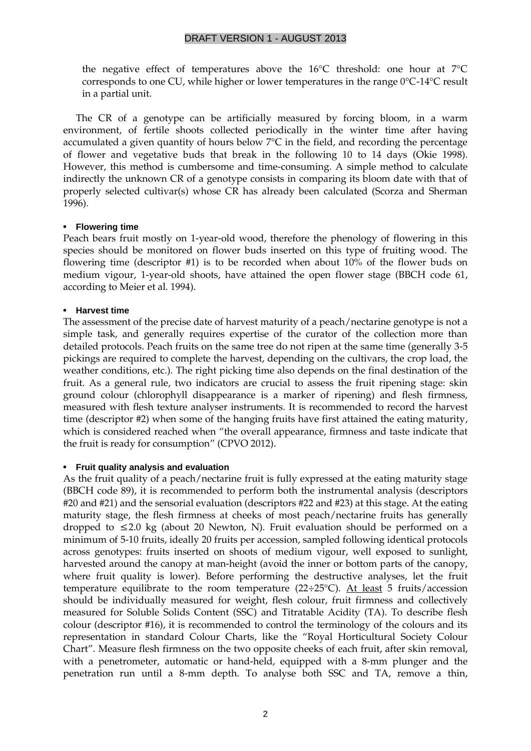the negative effect of temperatures above the 16°C threshold: one hour at 7°C corresponds to one CU, while higher or lower temperatures in the range 0°C-14°C result in a partial unit.

The CR of a genotype can be artificially measured by forcing bloom, in a warm environment, of fertile shoots collected periodically in the winter time after having accumulated a given quantity of hours below 7°C in the field, and recording the percentage of flower and vegetative buds that break in the following 10 to 14 days (Okie 1998). However, this method is cumbersome and time-consuming. A simple method to calculate indirectly the unknown CR of a genotype consists in comparing its bloom date with that of properly selected cultivar(s) whose CR has already been calculated (Scorza and Sherman 1996).

#### • **Flowering time**

Peach bears fruit mostly on 1-year-old wood, therefore the phenology of flowering in this species should be monitored on flower buds inserted on this type of fruiting wood. The flowering time (descriptor #1) is to be recorded when about 10% of the flower buds on medium vigour, 1-year-old shoots, have attained the open flower stage (BBCH code 61, according to Meier et al. 1994).

#### • **Harvest time**

The assessment of the precise date of harvest maturity of a peach/nectarine genotype is not a simple task, and generally requires expertise of the curator of the collection more than detailed protocols. Peach fruits on the same tree do not ripen at the same time (generally 3-5 pickings are required to complete the harvest, depending on the cultivars, the crop load, the weather conditions, etc.). The right picking time also depends on the final destination of the fruit. As a general rule, two indicators are crucial to assess the fruit ripening stage: skin ground colour (chlorophyll disappearance is a marker of ripening) and flesh firmness, measured with flesh texture analyser instruments. It is recommended to record the harvest time (descriptor #2) when some of the hanging fruits have first attained the eating maturity, which is considered reached when "the overall appearance, firmness and taste indicate that the fruit is ready for consumption" (CPVO 2012).

#### • **Fruit quality analysis and evaluation**

As the fruit quality of a peach/nectarine fruit is fully expressed at the eating maturity stage (BBCH code 89), it is recommended to perform both the instrumental analysis (descriptors #20 and #21) and the sensorial evaluation (descriptors #22 and #23) at this stage. At the eating maturity stage, the flesh firmness at cheeks of most peach/nectarine fruits has generally dropped to  $\leq 2.0$  kg (about 20 Newton, N). Fruit evaluation should be performed on a minimum of 5-10 fruits, ideally 20 fruits per accession, sampled following identical protocols across genotypes: fruits inserted on shoots of medium vigour, well exposed to sunlight, harvested around the canopy at man-height (avoid the inner or bottom parts of the canopy, where fruit quality is lower). Before performing the destructive analyses, let the fruit temperature equilibrate to the room temperature  $(22\div 25^{\circ}C)$ . At least 5 fruits/accession should be individually measured for weight, flesh colour, fruit firmness and collectively measured for Soluble Solids Content (SSC) and Titratable Acidity (TA). To describe flesh colour (descriptor #16), it is recommended to control the terminology of the colours and its representation in standard Colour Charts, like the "Royal Horticultural Society Colour Chart". Measure flesh firmness on the two opposite cheeks of each fruit, after skin removal, with a penetrometer, automatic or hand-held, equipped with a 8-mm plunger and the penetration run until a 8-mm depth. To analyse both SSC and TA, remove a thin,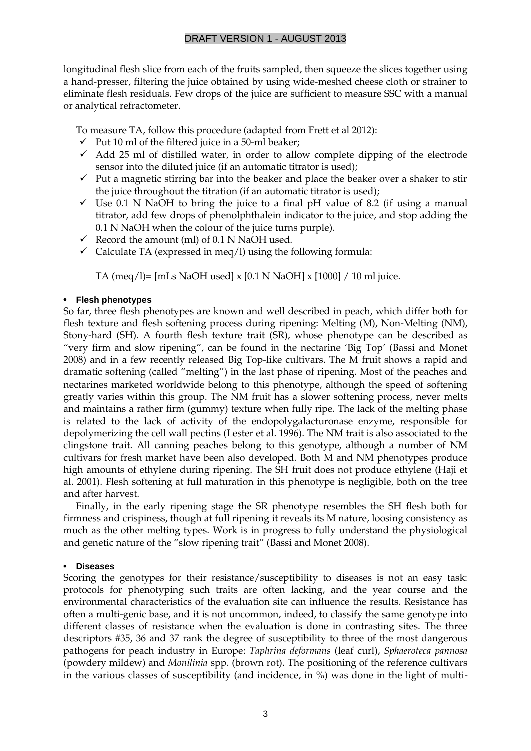longitudinal flesh slice from each of the fruits sampled, then squeeze the slices together using a hand-presser, filtering the juice obtained by using wide-meshed cheese cloth or strainer to eliminate flesh residuals. Few drops of the juice are sufficient to measure SSC with a manual or analytical refractometer.

To measure TA, follow this procedure (adapted from Frett et al 2012):

- $\checkmark$  Put 10 ml of the filtered juice in a 50-ml beaker;
- $\checkmark$  Add 25 ml of distilled water, in order to allow complete dipping of the electrode sensor into the diluted juice (if an automatic titrator is used);
- $\checkmark$  Put a magnetic stirring bar into the beaker and place the beaker over a shaker to stir the juice throughout the titration (if an automatic titrator is used);
- $\checkmark$  Use 0.1 N NaOH to bring the juice to a final pH value of 8.2 (if using a manual titrator, add few drops of phenolphthalein indicator to the juice, and stop adding the 0.1 N NaOH when the colour of the juice turns purple).
- Record the amount (ml) of  $0.1$  N NaOH used.
- $\checkmark$  Calculate TA (expressed in meq/l) using the following formula:

TA (meq/l)= [mLs NaOH used] x [0.1 N NaOH] x [1000] / 10 ml juice.

#### <span id="page-4-0"></span>• **Flesh phenotypes**

So far, three flesh phenotypes are known and well described in peach, which differ both for flesh texture and flesh softening process during ripening: Melting (M), Non-Melting (NM), Stony-hard (SH). A fourth flesh texture trait (SR), whose phenotype can be described as "very firm and slow ripening", can be found in the nectarine 'Big Top' (Bassi and Monet 2008) and in a few recently released Big Top-like cultivars. The M fruit shows a rapid and dramatic softening (called "melting") in the last phase of ripening. Most of the peaches and nectarines marketed worldwide belong to this phenotype, although the speed of softening greatly varies within this group. The NM fruit has a slower softening process, never melts and maintains a rather firm (gummy) texture when fully ripe. The lack of the melting phase is related to the lack of activity of the endopolygalacturonase enzyme, responsible for depolymerizing the cell wall pectins (Lester et al. 1996). The NM trait is also associated to the clingstone trait. All canning peaches belong to this genotype, although a number of NM cultivars for fresh market have been also developed. Both M and NM phenotypes produce high amounts of ethylene during ripening. The SH fruit does not produce ethylene (Haji et al. 2001). Flesh softening at full maturation in this phenotype is negligible, both on the tree and after harvest.

Finally, in the early ripening stage the SR phenotype resembles the SH flesh both for firmness and crispiness, though at full ripening it reveals its M nature, loosing consistency as much as the other melting types. Work is in progress to fully understand the physiological and genetic nature of the "slow ripening trait" (Bassi and Monet 2008).

#### • **Diseases**

Scoring the genotypes for their resistance/susceptibility to diseases is not an easy task: protocols for phenotyping such traits are often lacking, and the year course and the environmental characteristics of the evaluation site can influence the results. Resistance has often a multi-genic base, and it is not uncommon, indeed, to classify the same genotype into different classes of resistance when the evaluation is done in contrasting sites. The three descriptors #35, 36 and 37 rank the degree of susceptibility to three of the most dangerous pathogens for peach industry in Europe: *Taphrina deformans* (leaf curl), *Sphaeroteca pannosa* (powdery mildew) and *Monilinia* spp. (brown rot). The positioning of the reference cultivars in the various classes of susceptibility (and incidence, in %) was done in the light of multi-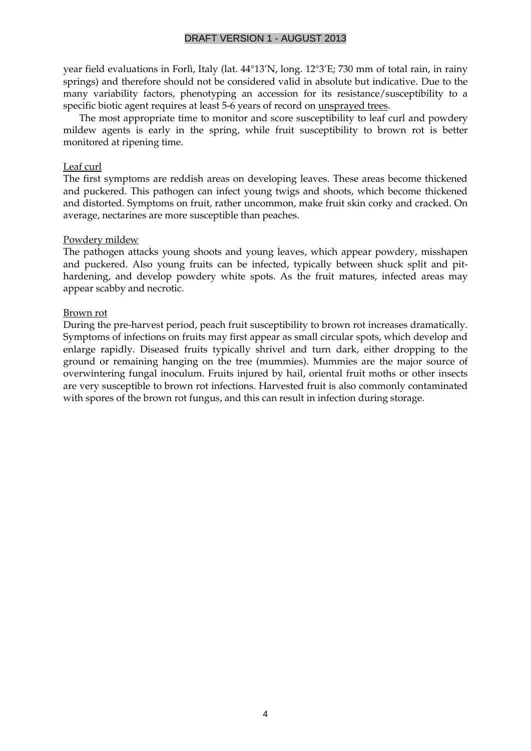year field evaluations in Forlì, Italy (lat. 44°13'N, long. 12°3'E; 730 mm of total rain, in rainy springs) and therefore should not be considered valid in absolute but indicative. Due to the many variability factors, phenotyping an accession for its resistance/susceptibility to a specific biotic agent requires at least 5-6 years of record on unsprayed trees.

The most appropriate time to monitor and score susceptibility to leaf curl and powdery mildew agents is early in the spring, while fruit susceptibility to brown rot is better monitored at ripening time.

#### Leaf curl

The first symptoms are reddish areas on developing leaves. These areas become thickened and puckered. This pathogen can infect young twigs and shoots, which become thickened and distorted. Symptoms on fruit, rather uncommon, make fruit skin corky and cracked. On average, nectarines are more susceptible than peaches.

#### Powdery mildew

The pathogen attacks young shoots and young leaves, which appear powdery, misshapen and puckered. Also young fruits can be infected, typically between shuck split and pithardening, and develop powdery white spots. As the fruit matures, infected areas may appear scabby and necrotic.

#### Brown rot

During the pre-harvest period, peach fruit susceptibility to brown rot increases dramatically. Symptoms of infections on fruits may first appear as small circular spots, which develop and enlarge rapidly. Diseased fruits typically shrivel and turn dark, either dropping to the ground or remaining hanging on the tree (mummies). Mummies are the major source of overwintering fungal inoculum. Fruits injured by hail, oriental fruit moths or other insects are very susceptible to brown rot infections. Harvested fruit is also commonly contaminated with spores of the brown rot fungus, and this can result in infection during storage.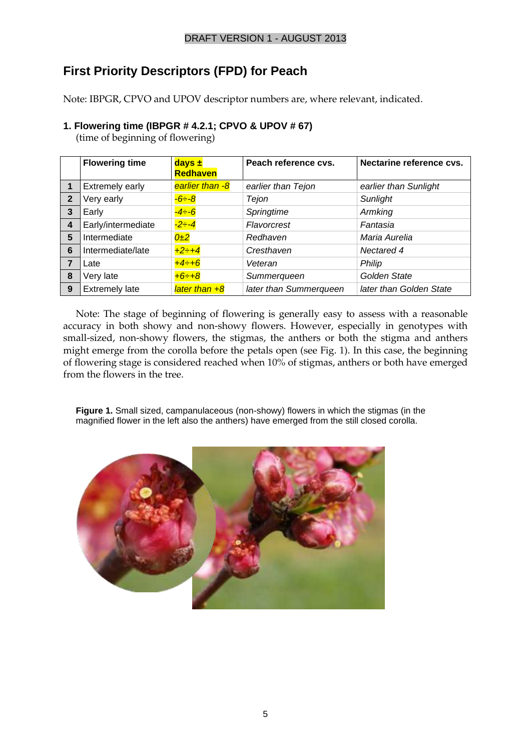# **First Priority Descriptors (FPD) for Peach**

Note: IBPGR, CPVO and UPOV descriptor numbers are, where relevant, indicated.

#### **1. Flowering time (IBPGR # 4.2.1; CPVO & UPOV # 67)**

(time of beginning of flowering)

|                | <b>Flowering time</b> | $days \pm$<br><b>Redhaven</b> | Peach reference cvs.   | Nectarine reference cvs. |
|----------------|-----------------------|-------------------------------|------------------------|--------------------------|
| $\mathbf 1$    | Extremely early       | earlier than -8               | earlier than Tejon     | earlier than Sunlight    |
| $\overline{2}$ | Very early            | $-6 - 8$                      | Tejon                  | Sunlight                 |
| 3              | Early                 | $-4 - 6$                      | Springtime             | Armking                  |
| $\overline{4}$ | Early/intermediate    | $-2 - 4$                      | Flavorcrest            | Fantasia                 |
| 5              | Intermediate          | 0±2                           | Redhaven               | Maria Aurelia            |
| 6              | Intermediate/late     | $+2-+4$                       | Cresthaven             | Nectared 4               |
| 7              | Late                  | $+4 \div 6$                   | Veteran                | Philip                   |
| 8              | Very late             | $+6 \div +8$                  | Summerqueen            | Golden State             |
| 9              | <b>Extremely late</b> | later than $+8$               | later than Summerqueen | later than Golden State  |

Note: The stage of beginning of flowering is generally easy to assess with a reasonable accuracy in both showy and non-showy flowers. However, especially in genotypes with small-sized, non-showy flowers, the stigmas, the anthers or both the stigma and anthers might emerge from the corolla before the petals open (see Fig. 1). In this case, the beginning of flowering stage is considered reached when 10% of stigmas, anthers or both have emerged from the flowers in the tree.

**Figure 1.** Small sized, campanulaceous (non-showy) flowers in which the stigmas (in the magnified flower in the left also the anthers) have emerged from the still closed corolla.

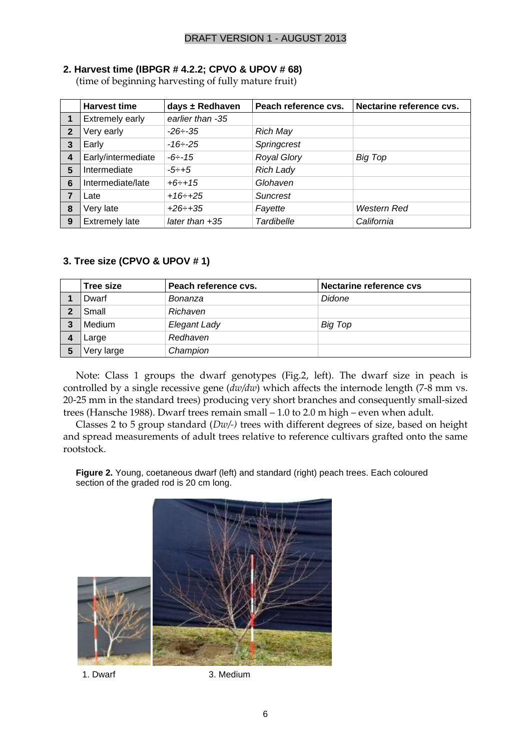#### **2. Harvest time (IBPGR # 4.2.2; CPVO & UPOV # 68)**

(time of beginning harvesting of fully mature fruit)

|                | <b>Harvest time</b>   | days $\pm$ Redhaven | Peach reference cvs. | Nectarine reference cvs. |
|----------------|-----------------------|---------------------|----------------------|--------------------------|
| 1              | Extremely early       | earlier than -35    |                      |                          |
| $\mathbf{2}$   | Very early            | $-26 - 35$          | <b>Rich May</b>      |                          |
| 3              | Early                 | $-16 \div -25$      | Springcrest          |                          |
| $\overline{4}$ | Early/intermediate    | $-6 - 15$           | <b>Royal Glory</b>   | <b>Big Top</b>           |
| 5              | Intermediate          | $-5 \div +5$        | <b>Rich Lady</b>     |                          |
| 6              | Intermediate/late     | $+6 \div +15$       | Glohaven             |                          |
|                | ∟ate                  | $+16 \div +25$      | <b>Suncrest</b>      |                          |
| 8              | Very late             | $+26 \div 35$       | Fayette              | <b>Western Red</b>       |
| 9              | <b>Extremely late</b> | later than $+35$    | <b>Tardibelle</b>    | California               |

#### **3. Tree size (CPVO & UPOV # 1)**

| Tree size  | Peach reference cvs. | Nectarine reference cvs |
|------------|----------------------|-------------------------|
| Dwarf      | Bonanza              | Didone                  |
| Small      | Richaven             |                         |
| Medium     | Elegant Lady         | Big Top                 |
| Large      | Redhaven             |                         |
| Very large | Champion             |                         |

Note: Class 1 groups the dwarf genotypes (Fig.2, left). The dwarf size in peach is controlled by a single recessive gene (*dw/dw*) which affects the internode length (7-8 mm vs. 20-25 mm in the standard trees) producing very short branches and consequently small-sized trees (Hansche 1988). Dwarf trees remain small – 1.0 to 2.0 m high – even when adult.

Classes 2 to 5 group standard (*Dw/-)* trees with different degrees of size, based on height and spread measurements of adult trees relative to reference cultivars grafted onto the same rootstock.

**Figure 2.** Young, coetaneous dwarf (left) and standard (right) peach trees. Each coloured section of the graded rod is 20 cm long.



1. Dwarf 3. Medium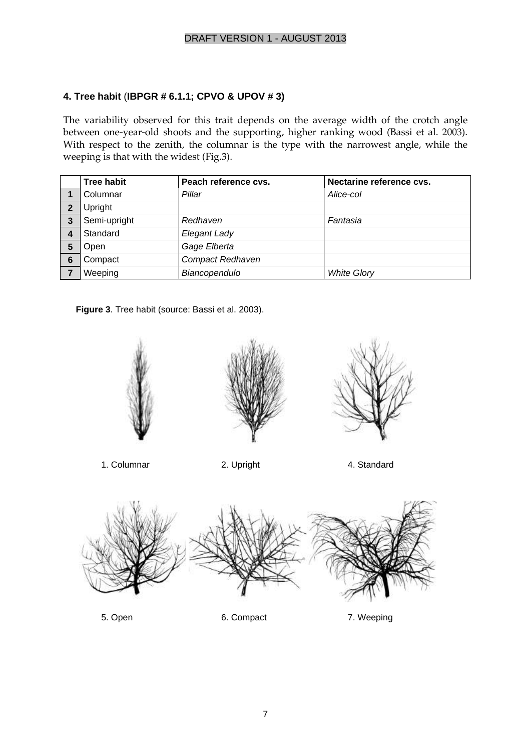#### **4. Tree habit** (**IBPGR # 6.1.1; CPVO & UPOV # 3)**

The variability observed for this trait depends on the average width of the crotch angle between one-year-old shoots and the supporting, higher ranking wood (Bassi et al. 2003). With respect to the zenith, the columnar is the type with the narrowest angle, while the weeping is that with the widest (Fig.3).

|              | <b>Tree habit</b> | Peach reference cvs.    | Nectarine reference cvs. |
|--------------|-------------------|-------------------------|--------------------------|
|              | Columnar          | Pillar                  | Alice-col                |
| $\mathbf{2}$ | Upright           |                         |                          |
| 3            | Semi-upright      | Redhaven                | Fantasia                 |
|              | Standard          | Elegant Lady            |                          |
| 5            | Open              | Gage Elberta            |                          |
| 6            | Compact           | <b>Compact Redhaven</b> |                          |
|              | Weeping           | Biancopendulo           | <b>White Glory</b>       |

**Figure 3**. Tree habit (source: Bassi et al. 2003).

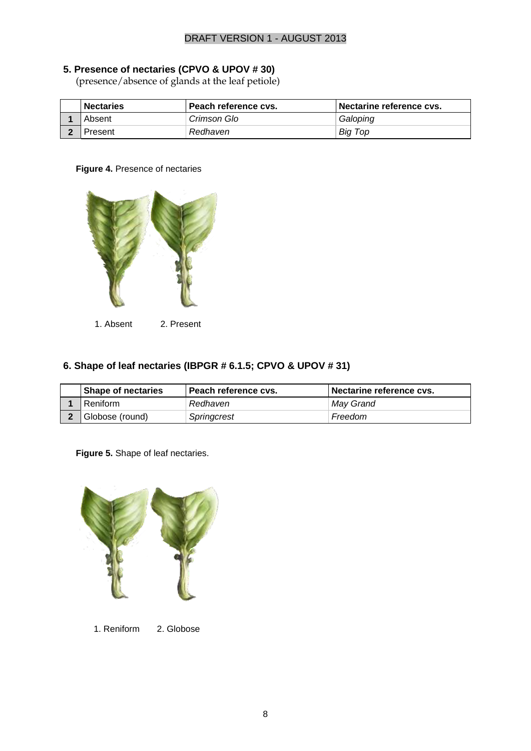#### **5. Presence of nectaries (CPVO & UPOV # 30)**

(presence/absence of glands at the leaf petiole)

| <b>Nectaries</b> | Peach reference cvs. | Nectarine reference cvs. |
|------------------|----------------------|--------------------------|
| Absent           | Crimson Glo          | Galoping                 |
| Present          | Redhaven             | <b>Big Top</b>           |

#### **Figure 4.** Presence of nectaries



#### **6. Shape of leaf nectaries (IBPGR # 6.1.5; CPVO & UPOV # 31)**

| <b>Shape of nectaries</b> | Peach reference cvs. | Nectarine reference cvs. |
|---------------------------|----------------------|--------------------------|
| Reniform                  | Redhaven             | May Grand                |
| Globose (round)           | Springcrest          | Freedom                  |

#### **Figure 5.** Shape of leaf nectaries.



1. Reniform 2. Globose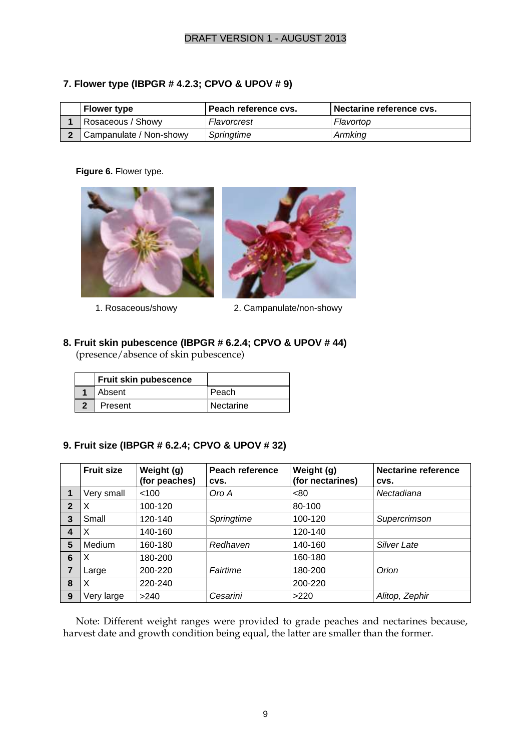#### **7. Flower type (IBPGR # 4.2.3; CPVO & UPOV # 9)**

| <b>Flower type</b>      | Peach reference cvs. | Nectarine reference cys. |
|-------------------------|----------------------|--------------------------|
| Rosaceous / Showy       | Flavorcrest          | Flavortop                |
| Campanulate / Non-showy | Springtime           | Armking                  |

#### **Figure 6.** Flower type.





1. Rosaceous/showy 2. Campanulate/non-showy

## **8. Fruit skin pubescence (IBPGR # 6.2.4; CPVO & UPOV # 44)**

(presence/absence of skin pubescence)

| <b>Fruit skin pubescence</b> |           |
|------------------------------|-----------|
| Absent                       | Peach     |
| Present                      | Nectarine |

#### **9. Fruit size (IBPGR # 6.2.4; CPVO & UPOV # 32)**

|                | <b>Fruit size</b> | Weight (g)<br>(for peaches) | Peach reference<br>CVS. | Weight (g)<br>(for nectarines) | <b>Nectarine reference</b><br>CVS. |
|----------------|-------------------|-----------------------------|-------------------------|--------------------------------|------------------------------------|
|                | Very small        | < 100                       | Oro A                   | < 80                           | Nectadiana                         |
| $\overline{2}$ | X                 | 100-120                     |                         | 80-100                         |                                    |
| 3              | Small             | 120-140                     | Springtime              | 100-120                        | Supercrimson                       |
| 4              | X                 | 140-160                     |                         | 120-140                        |                                    |
| 5              | Medium            | 160-180                     | Redhaven                | 140-160                        | <b>Silver Late</b>                 |
| 6              | X                 | 180-200                     |                         | 160-180                        |                                    |
| $\overline{7}$ | Large             | 200-220                     | Fairtime                | 180-200                        | Orion                              |
| 8              | X                 | 220-240                     |                         | 200-220                        |                                    |
| 9              | Very large        | >240                        | Cesarini                | >220                           | Alitop, Zephir                     |

Note: Different weight ranges were provided to grade peaches and nectarines because, harvest date and growth condition being equal, the latter are smaller than the former.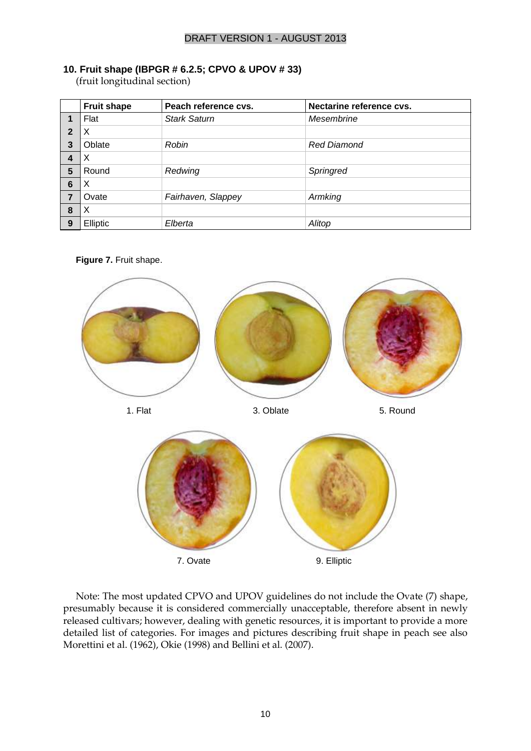#### **10. Fruit shape (IBPGR # 6.2.5; CPVO & UPOV # 33)**

(fruit longitudinal section)

|                | <b>Fruit shape</b> | Peach reference cvs. | Nectarine reference cvs. |
|----------------|--------------------|----------------------|--------------------------|
|                | Flat               | <b>Stark Saturn</b>  | Mesembrine               |
| $\overline{2}$ | X                  |                      |                          |
| 3              | Oblate             | Robin                | <b>Red Diamond</b>       |
|                | х                  |                      |                          |
| 5              | Round              | Redwing              | Springred                |
| 6              | X                  |                      |                          |
| 7              | Ovate              | Fairhaven, Slappey   | Armking                  |
| 8              | X                  |                      |                          |
| 9              | Elliptic           | Elberta              | Alitop                   |

**Figure 7.** Fruit shape.



Note: The most updated CPVO and UPOV guidelines do not include the Ovate (7) shape, presumably because it is considered commercially unacceptable, therefore absent in newly released cultivars; however, dealing with genetic resources, it is important to provide a more detailed list of categories. For images and pictures describing fruit shape in peach see also Morettini et al. (1962), Okie (1998) and Bellini et al. (2007).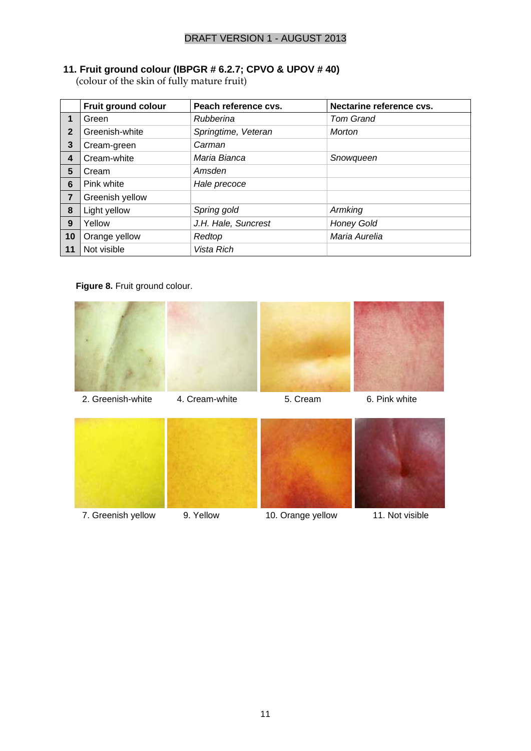#### **11. Fruit ground colour (IBPGR # 6.2.7; CPVO & UPOV # 40)**

(colour of the skin of fully mature fruit)

|                | <b>Fruit ground colour</b> | Peach reference cvs. | Nectarine reference cvs. |
|----------------|----------------------------|----------------------|--------------------------|
| 1              | Green                      | Rubberina            | <b>Tom Grand</b>         |
| $\overline{2}$ | Greenish-white             | Springtime, Veteran  | Morton                   |
| 3              | Cream-green                | Carman               |                          |
| 4              | Cream-white                | Maria Bianca         | Snowqueen                |
| 5              | Cream                      | Amsden               |                          |
| 6              | Pink white                 | Hale precoce         |                          |
| $\overline{7}$ | Greenish yellow            |                      |                          |
| 8              | Light yellow               | Spring gold          | Armking                  |
| 9              | Yellow                     | J.H. Hale, Suncrest  | <b>Honey Gold</b>        |
| 10             | Orange yellow              | Redtop               | Maria Aurelia            |
| 11             | Not visible                | Vista Rich           |                          |

**Figure 8.** Fruit ground colour.

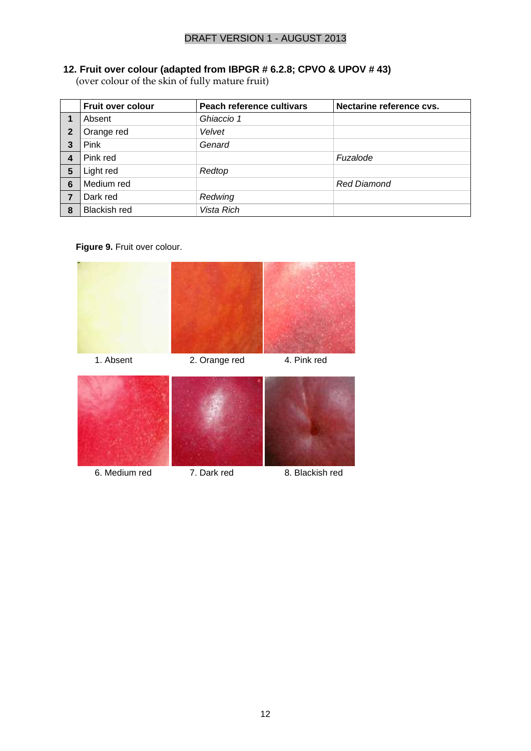#### **12. Fruit over colour (adapted from IBPGR # 6.2.8; CPVO & UPOV # 43)**

(over colour of the skin of fully mature fruit)

|                | <b>Fruit over colour</b> | Peach reference cultivars | Nectarine reference cvs. |
|----------------|--------------------------|---------------------------|--------------------------|
|                | Absent                   | Ghiaccio 1                |                          |
| $\overline{2}$ | Orange red               | Velvet                    |                          |
| $\mathbf{3}$   | <b>Pink</b>              | Genard                    |                          |
| 4              | Pink red                 |                           | Fuzalode                 |
| 5              | Light red                | Redtop                    |                          |
| 6              | Medium red               |                           | <b>Red Diamond</b>       |
| 7              | Dark red                 | Redwing                   |                          |
| 8              | <b>Blackish red</b>      | Vista Rich                |                          |

**Figure 9.** Fruit over colour.

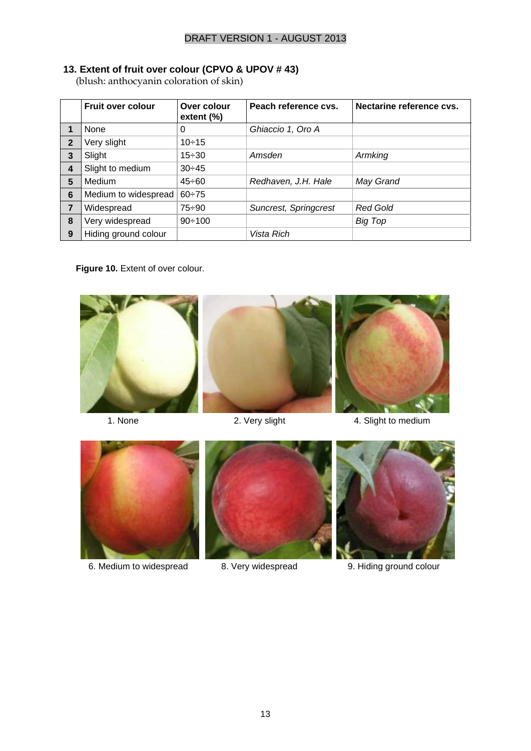#### **13. Extent of fruit over colour (CPVO & UPOV # 43)**

(blush: anthocyanin coloration of skin)

|                | <b>Fruit over colour</b> | Over colour<br>extent $(\%)$ | Peach reference cvs.  | Nectarine reference cvs. |
|----------------|--------------------------|------------------------------|-----------------------|--------------------------|
|                | None                     | 0                            | Ghiaccio 1, Oro A     |                          |
| $\overline{2}$ | Very slight              | $10 \div 15$                 |                       |                          |
| 3              | Slight                   | $15 - 30$                    | Amsden                | Armking                  |
| $\overline{4}$ | Slight to medium         | $30 - 45$                    |                       |                          |
| 5              | Medium                   | $45 \div 60$                 | Redhaven, J.H. Hale   | May Grand                |
| 6              | Medium to widespread     | $60 - 75$                    |                       |                          |
| $\overline{7}$ | Widespread               | $75 - 90$                    | Suncrest, Springcrest | <b>Red Gold</b>          |
| 8              | Very widespread          | $90 \div 100$                |                       | Big Top                  |
| 9              | Hiding ground colour     |                              | Vista Rich            |                          |

Figure 10. Extent of over colour.



## 2. Very slight

6. Medium to widespread 8. Very widespread 9. Hiding ground colour 6. Medium to widespread 8. Very widespread 9. Hiding ground colour

- 6. Medium to widespread 8. Very widespread 9. Hiding ground colour
	-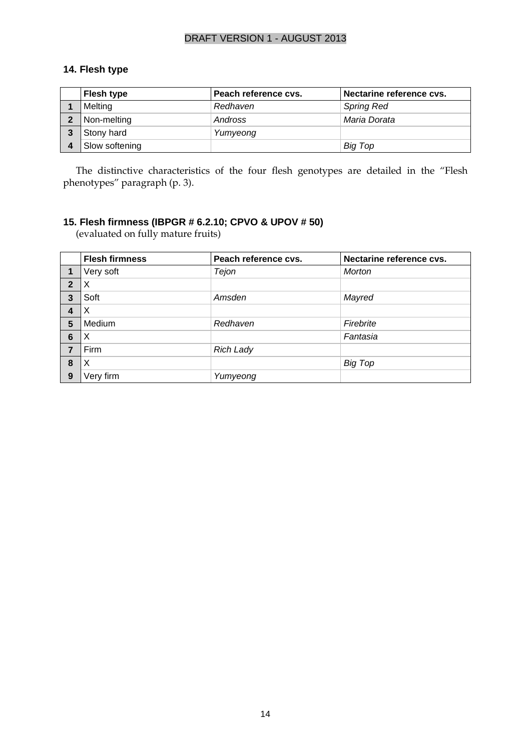#### **14. Flesh type**

|                | <b>Flesh type</b> | Peach reference cvs. | Nectarine reference cvs. |
|----------------|-------------------|----------------------|--------------------------|
|                | Melting           | Redhaven             | <b>Spring Red</b>        |
| $\overline{2}$ | Non-melting       | Andross              | Maria Dorata             |
|                | Stony hard        | Yumyeong             |                          |
|                | Slow softening    |                      | Big Top                  |

The distinctive characteristics of the four flesh genotypes are detailed in the "Flesh phenotypes" paragraph (p. [3\)](#page-4-0).

## **15. Flesh firmness (IBPGR # 6.2.10; CPVO & UPOV # 50)**

(evaluated on fully mature fruits)

|                | <b>Flesh firmness</b> | Peach reference cvs. | Nectarine reference cvs. |
|----------------|-----------------------|----------------------|--------------------------|
|                | Very soft             | Tejon                | <b>Morton</b>            |
| $\overline{2}$ |                       |                      |                          |
| 3              | Soft                  | Amsden               | Mayred                   |
| $\overline{4}$ | X                     |                      |                          |
| 5              | Medium                | Redhaven             | Firebrite                |
| 6              | X                     |                      | Fantasia                 |
| $\overline{7}$ | Firm                  | <b>Rich Lady</b>     |                          |
| 8              | X                     |                      | <b>Big Top</b>           |
| 9              | Very firm             | Yumyeong             |                          |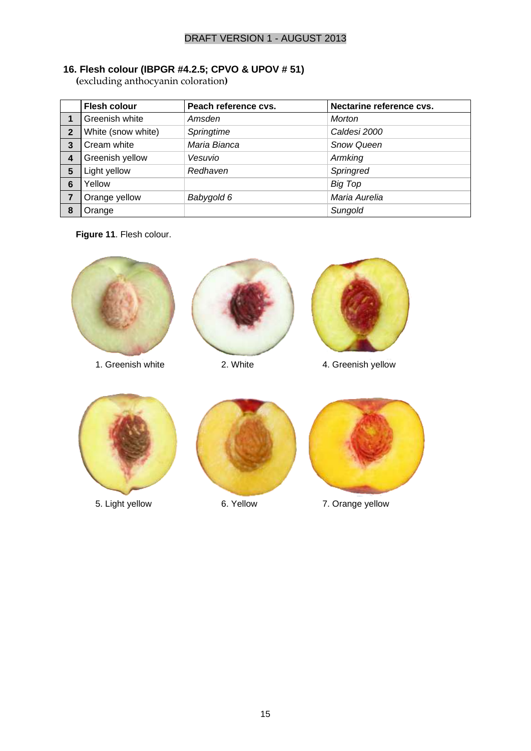#### **16. Flesh colour (IBPGR #4.2.5; CPVO & UPOV # 51)**

**(**excluding anthocyanin coloration**)**

|                | <b>Flesh colour</b> | Peach reference cvs. | Nectarine reference cvs. |
|----------------|---------------------|----------------------|--------------------------|
|                | Greenish white      | Amsden               | <b>Morton</b>            |
| $\overline{2}$ | White (snow white)  | Springtime           | Caldesi 2000             |
| 3              | Cream white         | Maria Bianca         | <b>Snow Queen</b>        |
| 4              | Greenish yellow     | Vesuvio              | Armking                  |
| $5\phantom{1}$ | Light yellow        | Redhaven             | Springred                |
| 6              | Yellow              |                      | <b>Big Top</b>           |
| $\overline{7}$ | Orange yellow       | Babygold 6           | Maria Aurelia            |
| 8              | Orange              |                      | Sungold                  |

**Figure 11**. Flesh colour.

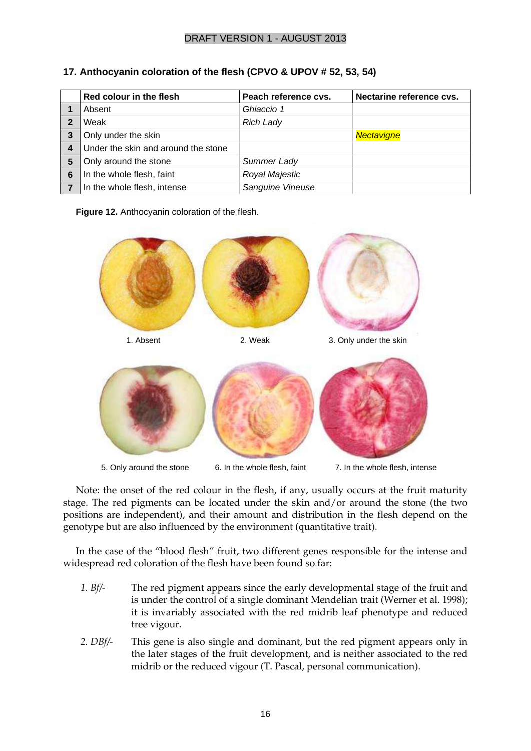|                | Red colour in the flesh             | Peach reference cvs. | Nectarine reference cvs. |
|----------------|-------------------------------------|----------------------|--------------------------|
|                | Absent                              | Ghiaccio 1           |                          |
| $\mathbf{2}$   | Weak                                | <b>Rich Lady</b>     |                          |
| 3              | Only under the skin                 |                      | Nectavigne               |
| $\overline{4}$ | Under the skin and around the stone |                      |                          |
| 5              | Only around the stone               | Summer Lady          |                          |
| 6              | In the whole flesh, faint           | Royal Majestic       |                          |
|                | In the whole flesh, intense         | Sanguine Vineuse     |                          |

**17. Anthocyanin coloration of the flesh (CPVO & UPOV # 52, 53, 54)**





Note: the onset of the red colour in the flesh, if any, usually occurs at the fruit maturity stage. The red pigments can be located under the skin and/or around the stone (the two positions are independent), and their amount and distribution in the flesh depend on the genotype but are also influenced by the environment (quantitative trait).

In the case of the "blood flesh" fruit, two different genes responsible for the intense and widespread red coloration of the flesh have been found so far:

- *1. Bf/-* The red pigment appears since the early developmental stage of the fruit and is under the control of a single dominant Mendelian trait (Werner et al. 1998); it is invariably associated with the red midrib leaf phenotype and reduced tree vigour.
- *2. DBf/-* This gene is also single and dominant, but the red pigment appears only in the later stages of the fruit development, and is neither associated to the red midrib or the reduced vigour (T. Pascal, personal communication).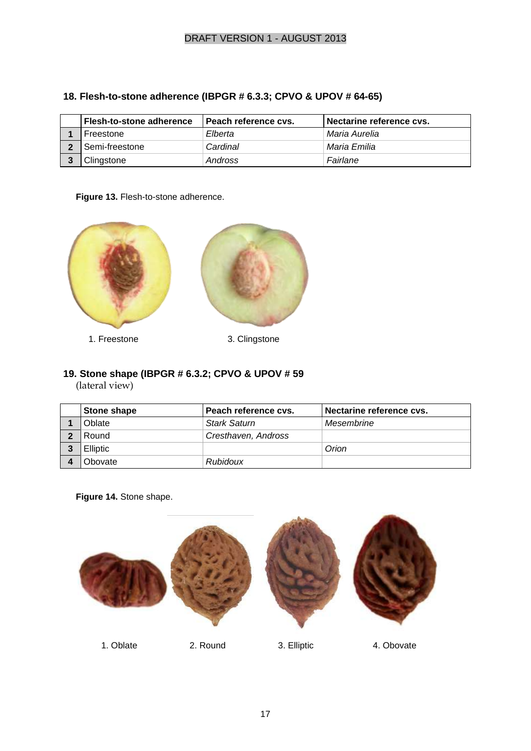| <b>Flesh-to-stone adherence</b> | l Peach reference cvs. | Nectarine reference cvs. |
|---------------------------------|------------------------|--------------------------|
| Freestone                       | Elberta                | Maria Aurelia            |
| Semi-freestone                  | Cardinal               | Maria Emilia             |
| Clingstone                      | Andross                | Fairlane                 |

#### **18. Flesh-to-stone adherence (IBPGR # 6.3.3; CPVO & UPOV # 64-65)**

#### **Figure 13.** Flesh-to-stone adherence.



# **19. Stone shape (IBPGR # 6.3.2; CPVO & UPOV # 59**

(lateral view)

| Stone shape     | Peach reference cvs. | Nectarine reference cys. |
|-----------------|----------------------|--------------------------|
| Oblate          | <b>Stark Saturn</b>  | Mesembrine               |
| Round           | Cresthaven, Andross  |                          |
| <b>Elliptic</b> |                      | Orion                    |
| <b>Obovate</b>  | Rubidoux             |                          |

**Figure 14.** Stone shape.



1. Oblate 2. Round 3. Elliptic 4. Obovate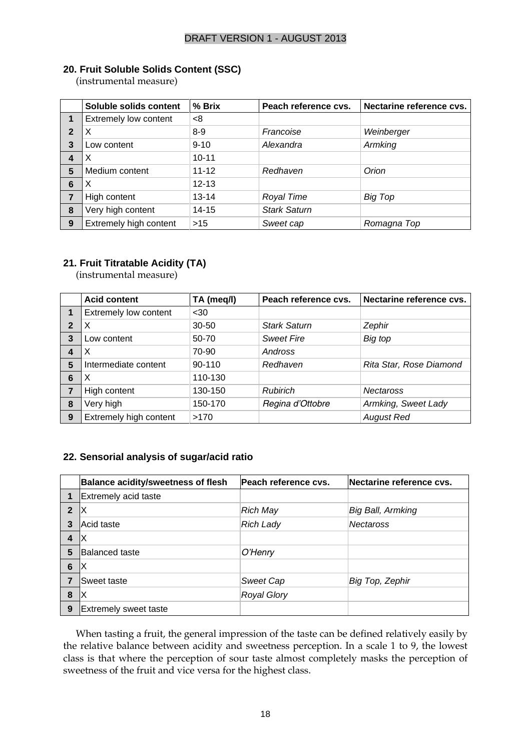#### **20. Fruit Soluble Solids Content (SSC)**

(instrumental measure)

|                | Soluble solids content | % Brix    | Peach reference cvs. | Nectarine reference cvs. |
|----------------|------------------------|-----------|----------------------|--------------------------|
|                | Extremely low content  | <8        |                      |                          |
| $\overline{2}$ | X                      | $8-9$     | Francoise            | Weinberger               |
| 3              | Low content            | $9 - 10$  | Alexandra            | Armking                  |
| 4              | X                      | $10 - 11$ |                      |                          |
| 5              | Medium content         | $11 - 12$ | Redhaven             | Orion                    |
| 6              | X                      | $12 - 13$ |                      |                          |
| 7              | High content           | $13 - 14$ | Royal Time           | Big Top                  |
| 8              | Very high content      | $14 - 15$ | <b>Stark Saturn</b>  |                          |
| 9              | Extremely high content | $>15$     | Sweet cap            | Romagna Top              |

#### **21. Fruit Titratable Acidity (TA)**

(instrumental measure)

|              | <b>Acid content</b>          | TA (meq/l) | Peach reference cvs. | Nectarine reference cvs. |
|--------------|------------------------------|------------|----------------------|--------------------------|
| 1            | <b>Extremely low content</b> | $30$       |                      |                          |
| $\mathbf{2}$ | X                            | $30 - 50$  | <b>Stark Saturn</b>  | Zephir                   |
| 3            | Low content                  | 50-70      | <b>Sweet Fire</b>    | Big top                  |
| 4            | х                            | 70-90      | Andross              |                          |
| 5            | Intermediate content         | 90-110     | Redhaven             | Rita Star, Rose Diamond  |
| 6            | х                            | 110-130    |                      |                          |
|              | High content                 | 130-150    | <b>Rubirich</b>      | <b>Nectaross</b>         |
| 8            | Very high                    | 150-170    | Regina d'Ottobre     | Armking, Sweet Lady      |
| 9            | Extremely high content       | >170       |                      | <b>August Red</b>        |

#### **22. Sensorial analysis of sugar/acid ratio**

|                         | <b>Balance acidity/sweetness of flesh</b> | Peach reference cvs. | Nectarine reference cvs. |
|-------------------------|-------------------------------------------|----------------------|--------------------------|
|                         | Extremely acid taste                      |                      |                          |
| $\mathbf{2}$            | ΙX                                        | <b>Rich May</b>      | Big Ball, Armking        |
| 3                       | Acid taste                                | <b>Rich Lady</b>     | <b>Nectaross</b>         |
| $\overline{\mathbf{4}}$ | ΙX                                        |                      |                          |
| 5                       | lBalanced taste                           | O'Henry              |                          |
| 6                       | ΙX                                        |                      |                          |
|                         | Sweet taste                               | <b>Sweet Cap</b>     | Big Top, Zephir          |
| 8                       | ΙX                                        | <b>Royal Glory</b>   |                          |
| 9                       | <b>Extremely sweet taste</b>              |                      |                          |

When tasting a fruit, the general impression of the taste can be defined relatively easily by the relative balance between acidity and sweetness perception. In a scale 1 to 9, the lowest class is that where the perception of sour taste almost completely masks the perception of sweetness of the fruit and vice versa for the highest class.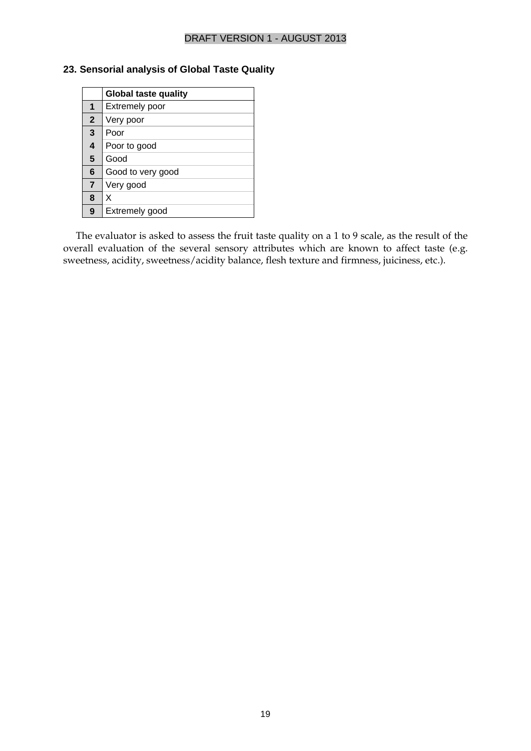#### **23. Sensorial analysis of Global Taste Quality**

|                | <b>Global taste quality</b> |
|----------------|-----------------------------|
|                | <b>Extremely poor</b>       |
| $\overline{2}$ | Very poor                   |
| 3              | Poor                        |
| 4              | Poor to good                |
| 5              | Good                        |
| 6              | Good to very good           |
| $\overline{7}$ | Very good                   |
| 8              | x                           |
| 9              | Extremely good              |

The evaluator is asked to assess the fruit taste quality on a 1 to 9 scale, as the result of the overall evaluation of the several sensory attributes which are known to affect taste (e.g. sweetness, acidity, sweetness/acidity balance, flesh texture and firmness, juiciness, etc.).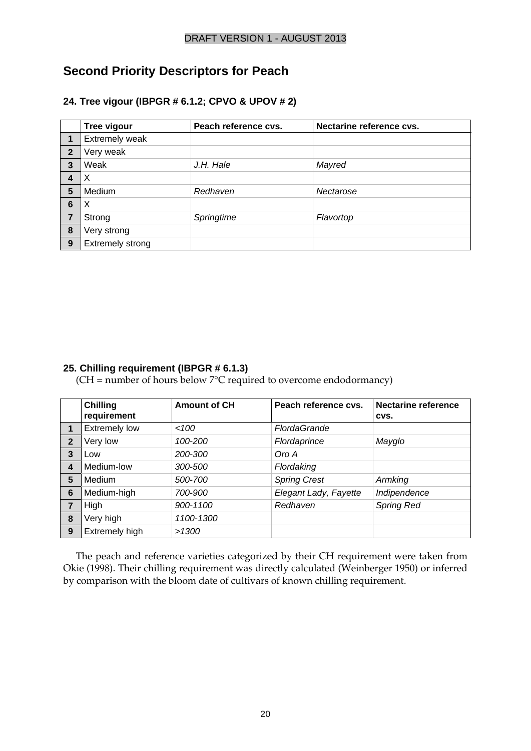## **Second Priority Descriptors for Peach**

#### **24. Tree vigour (IBPGR # 6.1.2; CPVO & UPOV # 2)**

|                | Tree vigour      | Peach reference cvs. | Nectarine reference cvs. |
|----------------|------------------|----------------------|--------------------------|
| 1              | Extremely weak   |                      |                          |
| $\overline{2}$ | Very weak        |                      |                          |
| 3              | Weak             | J.H. Hale            | Mayred                   |
| 4              | X                |                      |                          |
| 5              | Medium           | Redhaven             | Nectarose                |
| 6              | X                |                      |                          |
| 7              | Strong           | Springtime           | Flavortop                |
| 8              | Very strong      |                      |                          |
| 9              | Extremely strong |                      |                          |

#### **25. Chilling requirement (IBPGR # 6.1.3)**

 $(CH = number of hours below 7°C required to overcome endodormancy)$ 

|                | <b>Chilling</b><br>requirement | <b>Amount of CH</b> | Peach reference cvs.  | <b>Nectarine reference</b><br>CVS. |
|----------------|--------------------------------|---------------------|-----------------------|------------------------------------|
| 1              | <b>Extremely low</b>           | <100                | <b>FlordaGrande</b>   |                                    |
| $\overline{2}$ | Very low                       | 100-200             | Flordaprince          | Mayglo                             |
| 3              | Low                            | 200-300             | Oro A                 |                                    |
| 4              | Medium-low                     | 300-500             | Flordaking            |                                    |
| 5              | Medium                         | 500-700             | <b>Spring Crest</b>   | Armking                            |
| 6              | Medium-high                    | 700-900             | Elegant Lady, Fayette | Indipendence                       |
| $\overline{7}$ | High                           | 900-1100            | Redhaven              | <b>Spring Red</b>                  |
| 8              | Very high                      | 1100-1300           |                       |                                    |
| 9              | Extremely high                 | >1300               |                       |                                    |

The peach and reference varieties categorized by their CH requirement were taken from Okie (1998). Their chilling requirement was directly calculated (Weinberger 1950) or inferred by comparison with the bloom date of cultivars of known chilling requirement.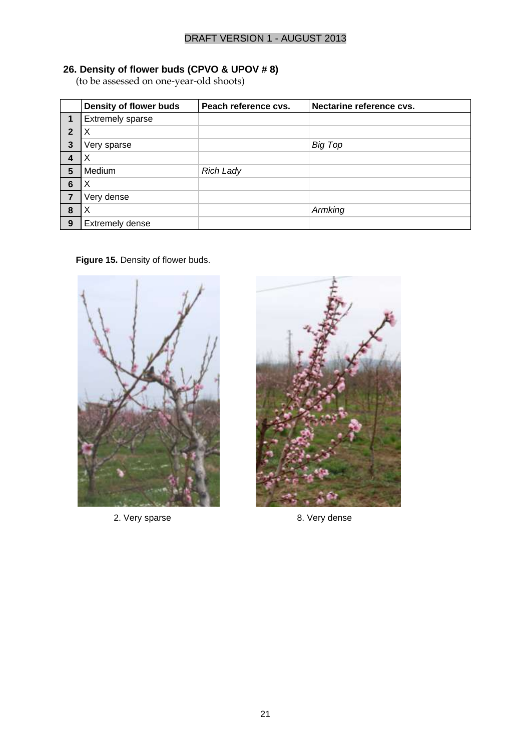#### **26. Density of flower buds (CPVO & UPOV # 8)**

(to be assessed on one-year-old shoots)

|                | Density of flower buds  | Peach reference cvs. | Nectarine reference cvs. |
|----------------|-------------------------|----------------------|--------------------------|
|                | <b>Extremely sparse</b> |                      |                          |
| $\overline{2}$ | X                       |                      |                          |
| 3              | Very sparse             |                      | Big Top                  |
| 4              | Х                       |                      |                          |
| 5              | Medium                  | <b>Rich Lady</b>     |                          |
| $6\phantom{1}$ | X                       |                      |                          |
| 7              | Very dense              |                      |                          |
| 8              | X                       |                      | Armking                  |
| 9              | <b>Extremely dense</b>  |                      |                          |

#### **Figure 15.** Density of flower buds.



2. Very sparse 2. Very sparse 2. Very dense

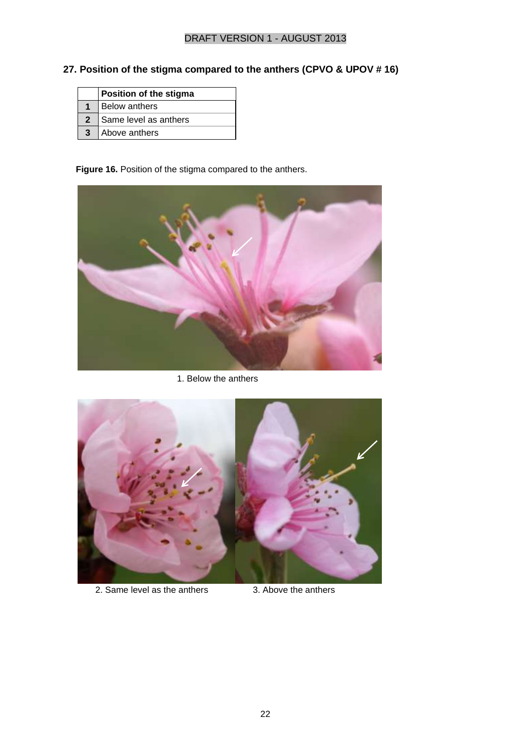## **27. Position of the stigma compared to the anthers (CPVO & UPOV # 16)**

| Position of the stigma |
|------------------------|
| <b>Below anthers</b>   |
| Same level as anthers  |
| Above anthers          |

**Figure 16.** Position of the stigma compared to the anthers.



1. Below the anthers 1. Below 1. Below



2. Same level as the anthers 3. Above the anthers Same level as the anthers  $\frac{3}{2}$ . Above the an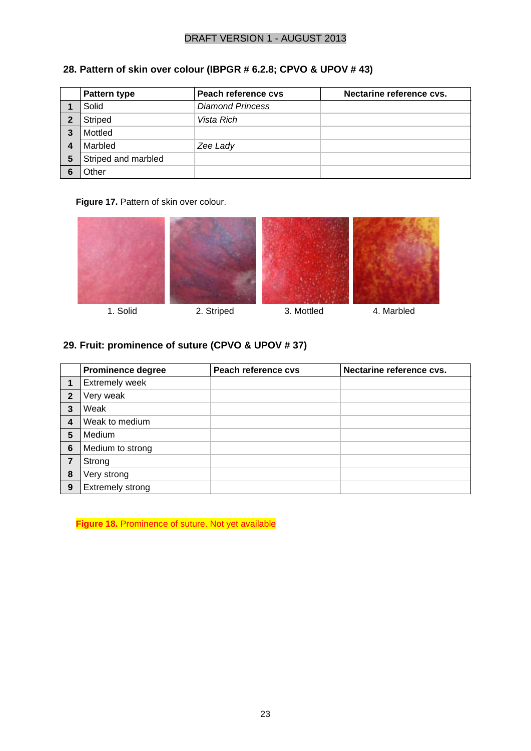|   | Pattern type        | Peach reference cvs     | Nectarine reference cvs. |
|---|---------------------|-------------------------|--------------------------|
|   | Solid               | <b>Diamond Princess</b> |                          |
|   | <b>Striped</b>      | Vista Rich              |                          |
|   | Mottled             |                         |                          |
|   | Marbled             | Zee Lady                |                          |
| 5 | Striped and marbled |                         |                          |
|   | Other               |                         |                          |

## **28. Pattern of skin over colour (IBPGR # 6.2.8; CPVO & UPOV # 43)**

#### **Figure 17.** Pattern of skin over colour.



- 
- 

#### **29. Fruit: prominence of suture (CPVO & UPOV # 37)**

|                | <b>Prominence degree</b> | Peach reference cvs | Nectarine reference cvs. |
|----------------|--------------------------|---------------------|--------------------------|
|                | <b>Extremely week</b>    |                     |                          |
| $\overline{2}$ | Very weak                |                     |                          |
| 3              | Weak                     |                     |                          |
| 4              | Weak to medium           |                     |                          |
| 5              | Medium                   |                     |                          |
| 6              | Medium to strong         |                     |                          |
|                | Strong                   |                     |                          |
| 8              | Very strong              |                     |                          |
| 9              | <b>Extremely strong</b>  |                     |                          |

**Figure 18.** Prominence of suture. Not yet available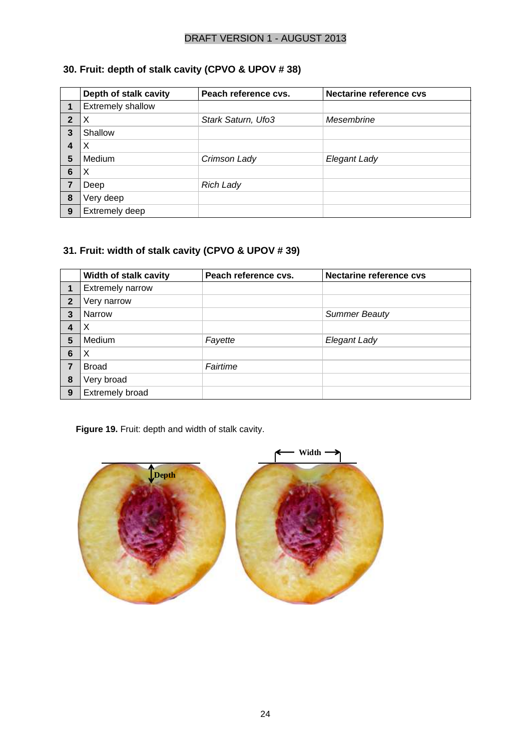## **30. Fruit: depth of stalk cavity (CPVO & UPOV # 38)**

|                | Depth of stalk cavity    | Peach reference cvs. | <b>Nectarine reference cvs</b> |
|----------------|--------------------------|----------------------|--------------------------------|
|                | <b>Extremely shallow</b> |                      |                                |
| $\overline{2}$ |                          | Stark Saturn, Ufo3   | Mesembrine                     |
| 3              | Shallow                  |                      |                                |
| 4              | Х                        |                      |                                |
| 5              | Medium                   | Crimson Lady         | Elegant Lady                   |
| 6              | X                        |                      |                                |
|                | Deep                     | <b>Rich Lady</b>     |                                |
| 8              | Very deep                |                      |                                |
| 9              | Extremely deep           |                      |                                |

## **31. Fruit: width of stalk cavity (CPVO & UPOV # 39)**

|                         | Width of stalk cavity   | Peach reference cvs. | <b>Nectarine reference cvs</b> |
|-------------------------|-------------------------|----------------------|--------------------------------|
|                         | <b>Extremely narrow</b> |                      |                                |
| $\mathbf{2}$            | Very narrow             |                      |                                |
| 3                       | <b>Narrow</b>           |                      | <b>Summer Beauty</b>           |
| $\overline{\mathbf{4}}$ |                         |                      |                                |
| 5                       | Medium                  | Fayette              | Elegant Lady                   |
| 6                       | X                       |                      |                                |
| 7                       | <b>Broad</b>            | Fairtime             |                                |
| 8                       | Very broad              |                      |                                |
| 9                       | <b>Extremely broad</b>  |                      |                                |

**Figure 19.** Fruit: depth and width of stalk cavity.

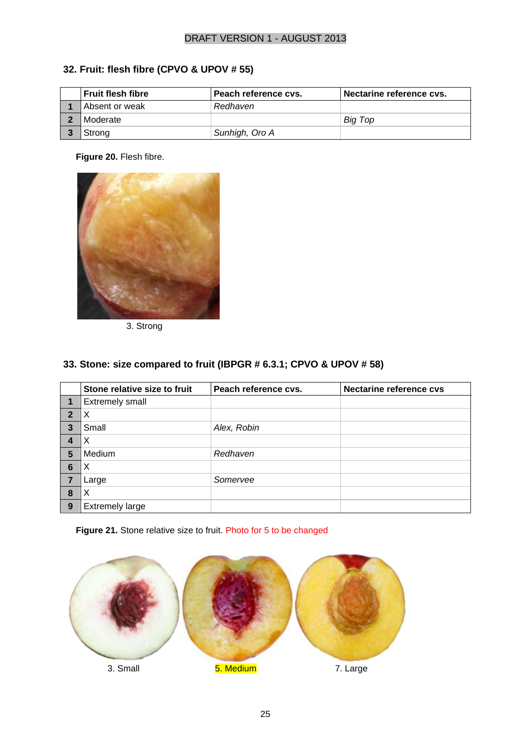## **32. Fruit: flesh fibre (CPVO & UPOV # 55)**

| <b>Fruit flesh fibre</b> | Peach reference cys. | Nectarine reference cvs. |
|--------------------------|----------------------|--------------------------|
| Absent or weak           | Redhaven             |                          |
| Moderate                 |                      | Big Top                  |
| Strong                   | Sunhigh, Oro A       |                          |

**Figure 20.** Flesh fibre.



3. Strong

#### **33. Stone: size compared to fruit (IBPGR # 6.3.1; CPVO & UPOV # 58)**

|                | Stone relative size to fruit | Peach reference cvs. | <b>Nectarine reference cvs</b> |
|----------------|------------------------------|----------------------|--------------------------------|
| 1              | <b>Extremely small</b>       |                      |                                |
| $\overline{2}$ | X                            |                      |                                |
| 3              | Small                        | Alex, Robin          |                                |
| 4              | X                            |                      |                                |
| 5              | Medium                       | Redhaven             |                                |
| 6              | X                            |                      |                                |
| 7              | Large                        | Somervee             |                                |
| 8              | X                            |                      |                                |
| 9              | <b>Extremely large</b>       |                      |                                |

#### **Figure 21.** Stone relative size to fruit. Photo for 5 to be changed

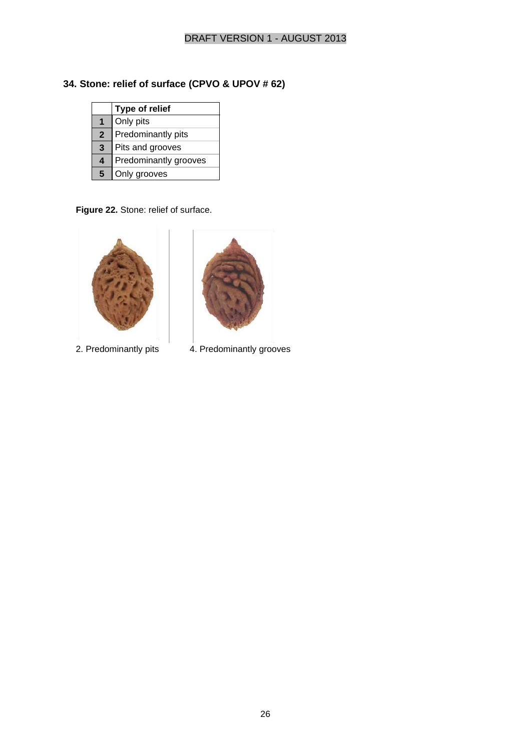## **34. Stone: relief of surface (CPVO & UPOV # 62)**

|              | Type of relief        |  |
|--------------|-----------------------|--|
|              | Only pits             |  |
| $\mathbf{2}$ | Predominantly pits    |  |
| 3            | Pits and grooves      |  |
| 4            | Predominantly grooves |  |
| 5            | Only grooves          |  |

**Figure 22.** Stone: relief of surface.





2. Predominantly pits 4. Predominantly grooves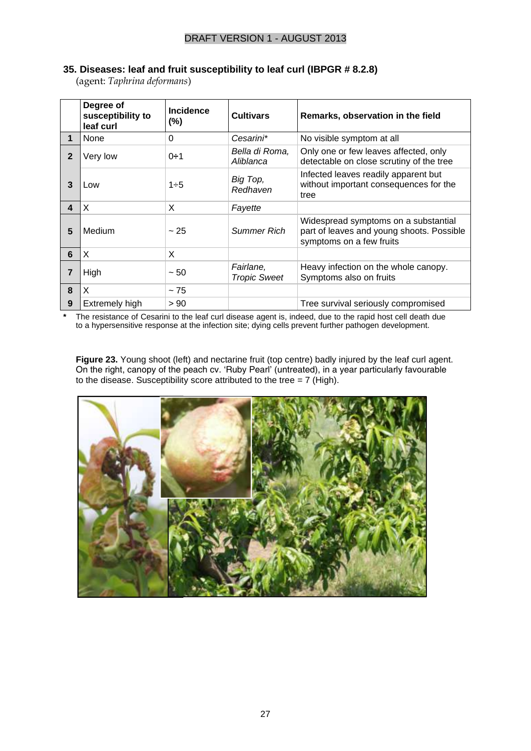|  |  |  |  |  |  | 35. Diseases: leaf and fruit susceptibility to leaf curl (IBPGR # 8.2.8) |  |
|--|--|--|--|--|--|--------------------------------------------------------------------------|--|
|--|--|--|--|--|--|--------------------------------------------------------------------------|--|

(agent: *Taphrina deformans*)

|              | Degree of<br>susceptibility to<br>leaf curl | <b>Incidence</b><br>(%) | <b>Cultivars</b>                 | Remarks, observation in the field                                                                             |
|--------------|---------------------------------------------|-------------------------|----------------------------------|---------------------------------------------------------------------------------------------------------------|
| $\mathbf 1$  | None                                        | 0                       | Cesarini*                        | No visible symptom at all                                                                                     |
| $\mathbf{2}$ | Very low                                    | $0 \div 1$              | Bella di Roma,<br>Aliblanca      | Only one or few leaves affected, only<br>detectable on close scrutiny of the tree                             |
| 3            | Low                                         | $1 \div 5$              | Big Top,<br>Redhaven             | Infected leaves readily apparent but<br>without important consequences for the<br>tree                        |
| 4            | X                                           | X                       | Fayette                          |                                                                                                               |
| 5            | Medium                                      | ~25                     | <b>Summer Rich</b>               | Widespread symptoms on a substantial<br>part of leaves and young shoots. Possible<br>symptoms on a few fruits |
| 6            | X                                           | X                       |                                  |                                                                                                               |
| 7            | High                                        | $~1$ – 50               | Fairlane,<br><b>Tropic Sweet</b> | Heavy infection on the whole canopy.<br>Symptoms also on fruits                                               |
| 8            | X                                           | ~175                    |                                  |                                                                                                               |
| 9            | Extremely high                              | > 90                    |                                  | Tree survival seriously compromised                                                                           |

**\*** The resistance of Cesarini to the leaf curl disease agent is, indeed, due to the rapid host cell death due to a hypersensitive response at the infection site; dying cells prevent further pathogen development.

**Figure 23.** Young shoot (left) and nectarine fruit (top centre) badly injured by the leaf curl agent. On the right, canopy of the peach cv. 'Ruby Pearl' (untreated), in a year particularly favourable to the disease. Susceptibility score attributed to the tree =  $7$  (High).

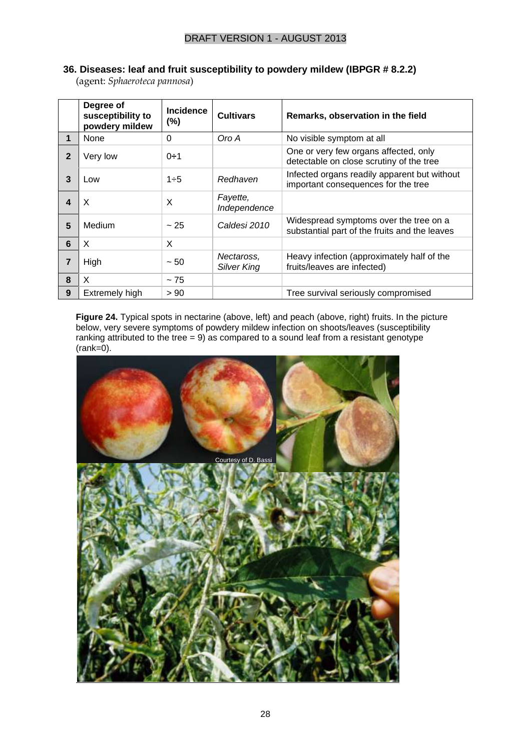|  |  | 36. Diseases: leaf and fruit susceptibility to powdery mildew (IBPGR # 8.2.2) |  |  |  |  |
|--|--|-------------------------------------------------------------------------------|--|--|--|--|
|  |  |                                                                               |  |  |  |  |

(agent: *Sphaeroteca pannosa*)

|                | Degree of<br>susceptibility to<br>powdery mildew | <b>Incidence</b><br>$(\% )$ | <b>Cultivars</b>          | Remarks, observation in the field                                                       |
|----------------|--------------------------------------------------|-----------------------------|---------------------------|-----------------------------------------------------------------------------------------|
| 1              | None                                             | 0                           | Oro A                     | No visible symptom at all                                                               |
| $\mathbf{2}$   | Very low                                         | $0 - 1$                     |                           | One or very few organs affected, only<br>detectable on close scrutiny of the tree       |
| 3              | Low                                              | $1 \div 5$                  | Redhaven                  | Infected organs readily apparent but without<br>important consequences for the tree     |
| 4              | X                                                | X                           | Fayette,<br>Independence  |                                                                                         |
| 5              | Medium                                           | ~25                         | Caldesi 2010              | Widespread symptoms over the tree on a<br>substantial part of the fruits and the leaves |
| 6              | X                                                | X                           |                           |                                                                                         |
| $\overline{7}$ | High                                             | $~1$ – 50                   | Nectaross,<br>Silver King | Heavy infection (approximately half of the<br>fruits/leaves are infected)               |
| 8              | X                                                | ~175                        |                           |                                                                                         |
| 9              | Extremely high                                   | > 90                        |                           | Tree survival seriously compromised                                                     |

Figure 24. Typical spots in nectarine (above, left) and peach (above, right) fruits. In the picture below, very severe symptoms of powdery mildew infection on shoots/leaves (susceptibility ranking attributed to the tree = 9) as compared to a sound leaf from a resistant genotype  $(rank=0)$ .

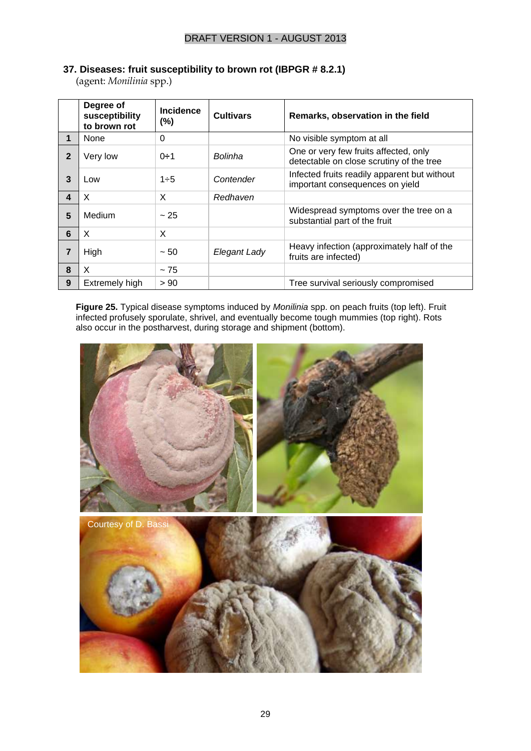#### **37. Diseases: fruit susceptibility to brown rot (IBPGR # 8.2.1)**

(agent: *Monilinia* spp.)

|                         | Degree of<br>susceptibility<br>to brown rot | <b>Incidence</b><br>(%) | <b>Cultivars</b> | Remarks, observation in the field                                                 |
|-------------------------|---------------------------------------------|-------------------------|------------------|-----------------------------------------------------------------------------------|
| 1                       | None                                        | $\Omega$                |                  | No visible symptom at all                                                         |
| $\overline{2}$          | Very low                                    | $0 + 1$                 | Bolinha          | One or very few fruits affected, only<br>detectable on close scrutiny of the tree |
| 3                       | Low                                         | $1 - 5$                 | Contender        | Infected fruits readily apparent but without<br>important consequences on yield   |
| $\overline{\mathbf{4}}$ | X                                           | X                       | Redhaven         |                                                                                   |
| 5                       | Medium                                      | ~25                     |                  | Widespread symptoms over the tree on a<br>substantial part of the fruit           |
| 6                       | X                                           | X                       |                  |                                                                                   |
| 7                       | High                                        | ~50                     | Elegant Lady     | Heavy infection (approximately half of the<br>fruits are infected)                |
| 8                       | X                                           | ~5                      |                  |                                                                                   |
| 9                       | Extremely high                              | > 90                    |                  | Tree survival seriously compromised                                               |

**Figure 25.** Typical disease symptoms induced by *Monilinia* spp. on peach fruits (top left). Fruit infected profusely sporulate, shrivel, and eventually become tough mummies (top right). Rots also occur in the postharvest, during storage and shipment (bottom).